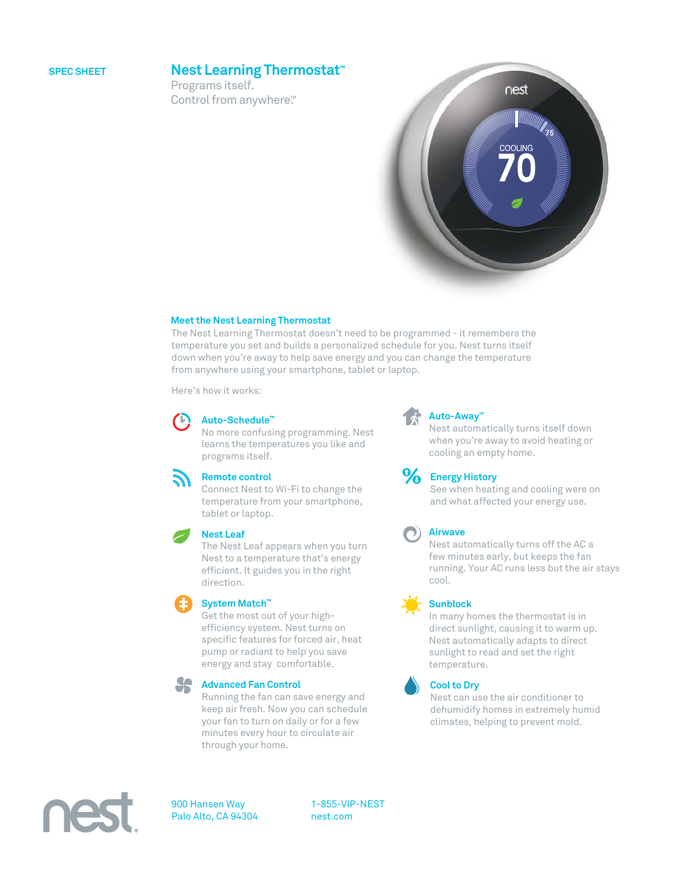## **SPEC SHEET**

## **Nest Learning Thermostat™**

Programs itself. Control from anywhere<sup>™</sup>



## **Meet the Nest Learning Thermostat**

The Nest Learning Thermostat doesn't need to be programmed - it remembers the temperature you set and builds a personalized schedule for you. Nest turns itself down when you're away to help save energy and you can change the temperature from anywhere using your smartphone, tablet or laptop.

Here's how it works:

## **Auto-Schedule™**

No more confusing programming. Nest learns the temperatures you like and programs itself.



### **Remote control**

Connect Nest to Wi-Fi to change the temperature from your smartphone, tablet or laptop.



The Nest Leaf appears when you turn Nest to a temperature that's energy efficient. It guides you in the right direction.



## **System Match™**

Get the most out of your highefficiency system. Nest turns on specific features for forced air, heat pump or radiant to help you save energy and stay comfortable.



## **Advanced Fan Control**

Running the fan can save energy and keep air fresh. Now you can schedule your fan to turn on daily or for a few minutes every hour to circulate air through your home.



## **Auto-Away™**

Nest automatically turns itself down when you're away to avoid heating or cooling an empty home.

## **Energy History**

See when heating and cooling were on and what affected your energy use.

## **Airwave**

Nest automatically turns off the AC a few minutes early, but keeps the fan running. Your AC runs less but the air stays cool.



In many homes the thermostat is in direct sunlight, causing it to warm up. Nest automatically adapts to direct sunlight to read and set the right temperature.



### **Cool to Dry**

Nest can use the air conditioner to dehumidify homes in extremely humid climates, helping to prevent mold.



900 Hansen Way Palo Alto, CA 94304 1-855-VIP-NEST nest.com